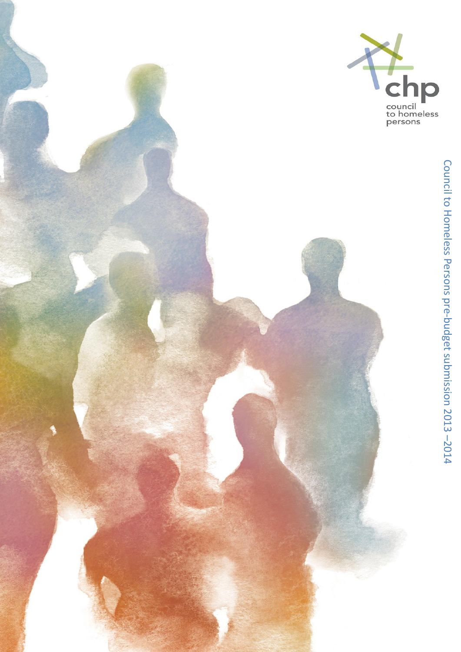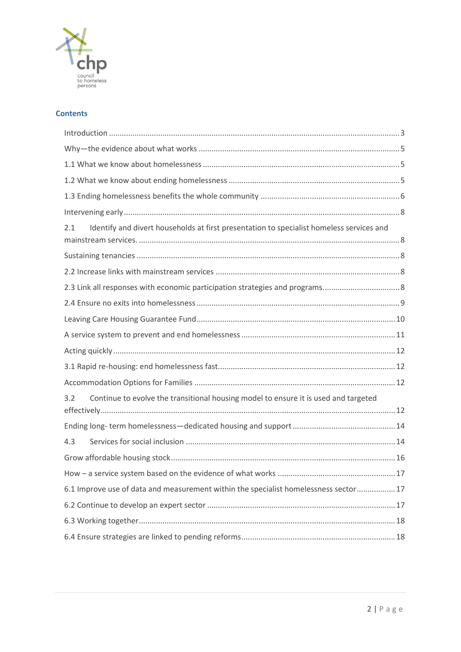

### **Contents**

| Identify and divert households at first presentation to specialist homeless services and<br>2.1 |  |
|-------------------------------------------------------------------------------------------------|--|
|                                                                                                 |  |
|                                                                                                 |  |
|                                                                                                 |  |
|                                                                                                 |  |
|                                                                                                 |  |
|                                                                                                 |  |
|                                                                                                 |  |
|                                                                                                 |  |
|                                                                                                 |  |
| Continue to evolve the transitional housing model to ensure it is used and targeted<br>3.2      |  |
|                                                                                                 |  |
| 4.3                                                                                             |  |
|                                                                                                 |  |
|                                                                                                 |  |
| 6.1 Improve use of data and measurement within the specialist homelessness sector17             |  |
|                                                                                                 |  |
|                                                                                                 |  |
|                                                                                                 |  |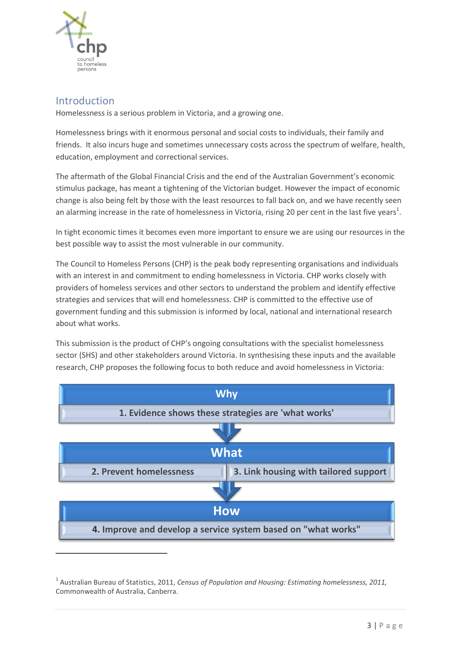

## <span id="page-2-0"></span>Introduction

Homelessness is a serious problem in Victoria, and a growing one.

Homelessness brings with it enormous personal and social costs to individuals, their family and friends. It also incurs huge and sometimes unnecessary costs across the spectrum of welfare, health, education, employment and correctional services.

The aftermath of the Global Financial Crisis and the end of the Australian Government's economic stimulus package, has meant a tightening of the Victorian budget. However the impact of economic change is also being felt by those with the least resources to fall back on, and we have recently seen an alarming increase in the rate of homelessness in Victoria, rising 20 per cent in the last five years<sup>1</sup>.

In tight economic times it becomes even more important to ensure we are using our resources in the best possible way to assist the most vulnerable in our community.

The Council to Homeless Persons (CHP) is the peak body representing organisations and individuals with an interest in and commitment to ending homelessness in Victoria. CHP works closely with providers of homeless services and other sectors to understand the problem and identify effective strategies and services that will end homelessness. CHP is committed to the effective use of government funding and this submission is informed by local, national and international research about what works.

This submission is the product of CHP's ongoing consultations with the specialist homelessness sector (SHS) and other stakeholders around Victoria. In synthesising these inputs and the available research, CHP proposes the following focus to both reduce and avoid homelessness in Victoria:



<sup>1</sup> Australian Bureau of Statistics, 2011, *Census of Population and Housing: Estimating homelessness, 2011,* Commonwealth of Australia, Canberra.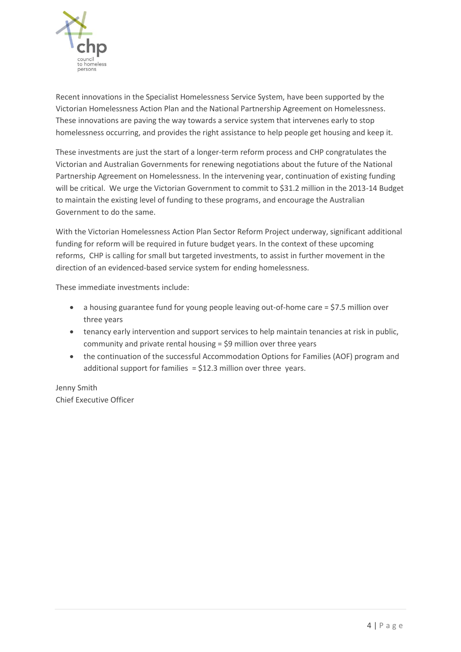

Recent innovations in the Specialist Homelessness Service System, have been supported by the Victorian Homelessness Action Plan and the National Partnership Agreement on Homelessness. These innovations are paving the way towards a service system that intervenes early to stop homelessness occurring, and provides the right assistance to help people get housing and keep it.

These investments are just the start of a longer-term reform process and CHP congratulates the Victorian and Australian Governments for renewing negotiations about the future of the National Partnership Agreement on Homelessness. In the intervening year, continuation of existing funding will be critical. We urge the Victorian Government to commit to \$31.2 million in the 2013-14 Budget to maintain the existing level of funding to these programs, and encourage the Australian Government to do the same.

With the Victorian Homelessness Action Plan Sector Reform Project underway, significant additional funding for reform will be required in future budget years. In the context of these upcoming reforms, CHP is calling for small but targeted investments, to assist in further movement in the direction of an evidenced-based service system for ending homelessness.

These immediate investments include:

- a housing guarantee fund for young people leaving out-of-home care = \$7.5 million over three years
- tenancy early intervention and support services to help maintain tenancies at risk in public, community and private rental housing = \$9 million over three years
- the continuation of the successful Accommodation Options for Families (AOF) program and additional support for families  $=$  \$12.3 million over three years.

Jenny Smith Chief Executive Officer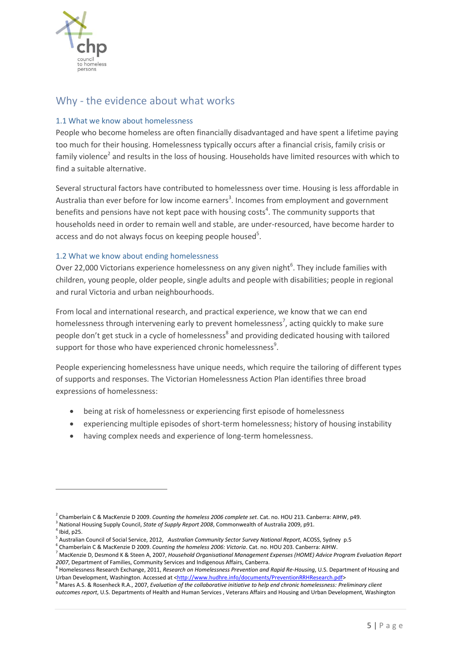

**.** 

## <span id="page-4-0"></span>Why - the evidence about what works

### <span id="page-4-1"></span>1.1 What we know about homelessness

People who become homeless are often financially disadvantaged and have spent a lifetime paying too much for their housing. Homelessness typically occurs after a financial crisis, family crisis or family violence<sup>2</sup> and results in the loss of housing. Households have limited resources with which to find a suitable alternative.

Several structural factors have contributed to homelessness over time. Housing is less affordable in Australia than ever before for low income earners<sup>3</sup>. Incomes from employment and government benefits and pensions have not kept pace with housing costs<sup>4</sup>. The community supports that households need in order to remain well and stable, are under-resourced, have become harder to access and do not always focus on keeping people housed<sup>5</sup>.

### <span id="page-4-2"></span>1.2 What we know about ending homelessness

Over 22,000 Victorians experience homelessness on any given night<sup>6</sup>. They include families with children, young people, older people, single adults and people with disabilities; people in regional and rural Victoria and urban neighbourhoods.

From local and international research, and practical experience, we know that we can end homelessness through intervening early to prevent homelessness<sup>7</sup>, acting quickly to make sure people don't get stuck in a cycle of homelessness<sup>8</sup> and providing dedicated housing with tailored support for those who have experienced chronic homelessness<sup>9</sup>.

People experiencing homelessness have unique needs, which require the tailoring of different types of supports and responses. The Victorian Homelessness Action Plan identifies three broad expressions of homelessness:

- being at risk of homelessness or experiencing first episode of homelessness
- experiencing multiple episodes of short-term homelessness; history of housing instability
- having complex needs and experience of long-term homelessness.

3 National Housing Supply Council, *State of Supply Report 2008*, Commonwealth of Australia 2009, p91.  $<sup>4</sup>$  Ibid, p25.</sup>

<sup>2</sup> Chamberlain C & MacKenzie D 2009. *Counting the homeless 2006 complete set*. Cat. no. HOU 213. Canberra: AIHW, p49.

<sup>5</sup> Australian Council of Social Service, 2012, *Australian Community Sector Survey National Report*, ACOSS, Sydney p.5

<sup>6</sup> Chamberlain C & MacKenzie D 2009. *Counting the homeless 2006: Victoria*. Cat. no. HOU 203. Canberra: AIHW.

<sup>7</sup> MacKenzie D, Desmond K & Steen A, 2007, *Household Organisational Management Expenses (HOME) Advice Program Evaluation Report 2007*, Department of Families, Community Services and Indigenous Affairs, Canberra.

<sup>8</sup> Homelessness Research Exchange, 2011, *Research on Homelessness Prevention and Rapid Re-Housing*, U.S. Department of Housing and Urban Development, Washington. Accessed at [<http://www.hudhre.info/documents/PreventionRRHResearch.pdf>](http://www.hudhre.info/documents/PreventionRRHResearch.pdf)

<sup>9</sup> Mares A.S. & Rosenheck R.A., 2007, *Evaluation of the collaborative initiative to help end chronic homelessness: Preliminary client outcomes report*, U.S. Departments of Health and Human Services , Veterans Affairs and Housing and Urban Development, Washington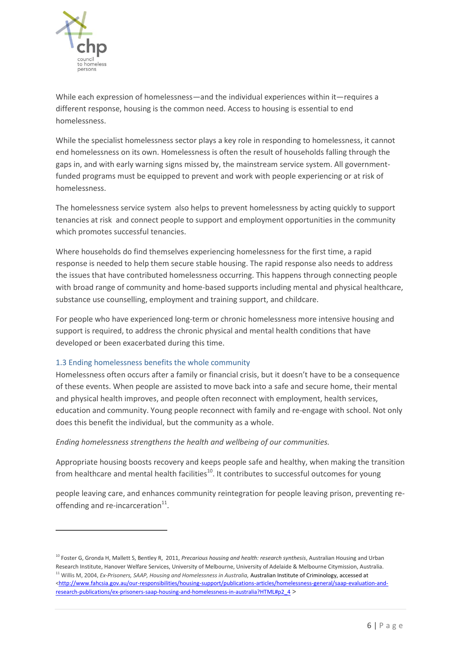

**.** 

While each expression of homelessness—and the individual experiences within it—requires a different response, housing is the common need. Access to housing is essential to end homelessness.

While the specialist homelessness sector plays a key role in responding to homelessness, it cannot end homelessness on its own. Homelessness is often the result of households falling through the gaps in, and with early warning signs missed by, the mainstream service system. All governmentfunded programs must be equipped to prevent and work with people experiencing or at risk of homelessness.

The homelessness service system also helps to prevent homelessness by acting quickly to support tenancies at risk and connect people to support and employment opportunities in the community which promotes successful tenancies.

Where households do find themselves experiencing homelessness for the first time, a rapid response is needed to help them secure stable housing. The rapid response also needs to address the issues that have contributed homelessness occurring. This happens through connecting people with broad range of community and home-based supports including mental and physical healthcare, substance use counselling, employment and training support, and childcare.

For people who have experienced long-term or chronic homelessness more intensive housing and support is required, to address the chronic physical and mental health conditions that have developed or been exacerbated during this time.

### <span id="page-5-0"></span>1.3 Ending homelessness benefits the whole community

Homelessness often occurs after a family or financial crisis, but it doesn't have to be a consequence of these events. When people are assisted to move back into a safe and secure home, their mental and physical health improves, and people often reconnect with employment, health services, education and community. Young people reconnect with family and re-engage with school. Not only does this benefit the individual, but the community as a whole.

### *Ending homelessness strengthens the health and wellbeing of our communities.*

Appropriate housing boosts recovery and keeps people safe and healthy, when making the transition from healthcare and mental health facilities<sup>10</sup>. It contributes to successful outcomes for young

people leaving care, and enhances community reintegration for people leaving prison, preventing reoffending and re-incarceration<sup>11</sup>.

<sup>&</sup>lt;sup>10</sup> Foster G, Gronda H, Mallett S, Bentley R, 2011, *Precarious housing and health: research synthesis*, Australian Housing and Urban Research Institute, Hanover Welfare Services, University of Melbourne, University of Adelaide & Melbourne Citymission, Australia. <sup>11</sup> Willis M, 2004, *Ex-Prisoners, SAAP, Housing and Homelessness in Australia*, Australian Institute of Criminology, accessed at [<http://www.fahcsia.gov.au/our-responsibilities/housing-support/publications-articles/homelessness-general/saap-evaluation-and](http://www.fahcsia.gov.au/our-responsibilities/housing-support/publications-articles/homelessness-general/saap-evaluation-and-research-publications/ex-prisoners-saap-housing-and-homelessness-in-australia?HTML#p2_4)[research-publications/ex-prisoners-saap-housing-and-homelessness-in-australia?HTML#p2\\_4](http://www.fahcsia.gov.au/our-responsibilities/housing-support/publications-articles/homelessness-general/saap-evaluation-and-research-publications/ex-prisoners-saap-housing-and-homelessness-in-australia?HTML#p2_4) >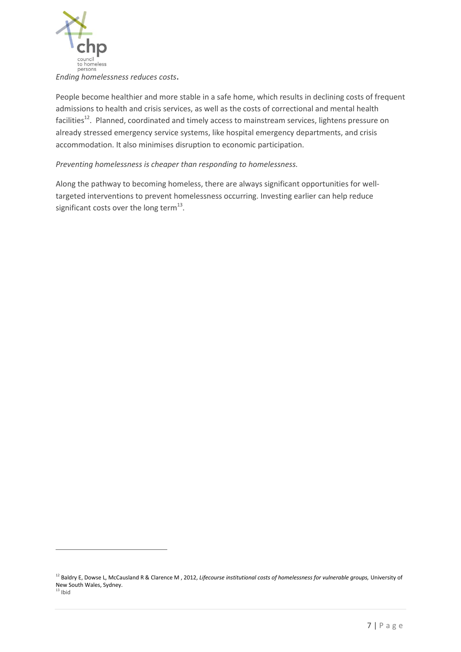

<u>.</u>

People become healthier and more stable in a safe home, which results in declining costs of frequent admissions to health and crisis services, as well as the costs of correctional and mental health facilities<sup>12</sup>. Planned, coordinated and timely access to mainstream services, lightens pressure on already stressed emergency service systems, like hospital emergency departments, and crisis accommodation. It also minimises disruption to economic participation.

### *Preventing homelessness is cheaper than responding to homelessness.*

Along the pathway to becoming homeless, there are always significant opportunities for welltargeted interventions to prevent homelessness occurring. Investing earlier can help reduce significant costs over the long term $^{13}$ .

<sup>&</sup>lt;sup>12</sup> Baldry E, Dowse L, McCausland R & Clarence M , 2012, *Lifecourse institutional costs of homelessness for vulnerable groups*, University of New South Wales, Sydney.  $13$  Ibid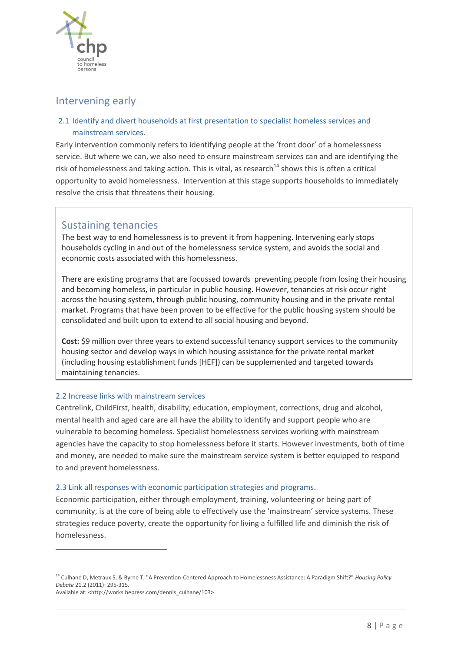

## <span id="page-7-0"></span>Intervening early

### <span id="page-7-1"></span>2.1 Identify and divert households at first presentation to specialist homeless services and mainstream services.

Early intervention commonly refers to identifying people at the 'front door' of a homelessness service. But where we can, we also need to ensure mainstream services can and are identifying the risk of homelessness and taking action. This is vital, as research<sup>14</sup> shows this is often a critical opportunity to avoid homelessness. Intervention at this stage supports households to immediately resolve the crisis that threatens their housing.

## Sustaining tenancies

The best way to end homelessness is to prevent it from happening. Intervening early stops households cycling in and out of the homelessness service system, and avoids the social and economic costs associated with this homelessness.

There are existing programs that are focussed towards preventing people from losing their housing and becoming homeless, in particular in public housing. However, tenancies at risk occur right across the housing system, through public housing, community housing and in the private rental market. Programs that have been proven to be effective for the public housing system should be consolidated and built upon to extend to all social housing and beyond.

**Cost:** \$9 million over three years to extend successful tenancy support services to the community housing sector and develop ways in which housing assistance for the private rental market (including housing establishment funds [HEF]) can be supplemented and targeted towards maintaining tenancies.

### <span id="page-7-2"></span>2.2 Increase links with mainstream services

<u>.</u>

Centrelink, ChildFirst, health, disability, education, employment, corrections, drug and alcohol, mental health and aged care are all have the ability to identify and support people who are vulnerable to becoming homeless. Specialist homelessness services working with mainstream agencies have the capacity to stop homelessness before it starts. However investments, both of time and money, are needed to make sure the mainstream service system is better equipped to respond to and prevent homelessness.

### <span id="page-7-3"></span>2.3 Link all responses with economic participation strategies and programs.

Economic participation, either through employment, training, volunteering or being part of community, is at the core of being able to effectively use the 'mainstream' service systems. These strategies reduce poverty, create the opportunity for living a fulfilled life and diminish the risk of homelessness.

<sup>14</sup> Culhane D, Metraux S, & Byrne T. "A Prevention-Centered Approach to Homelessness Assistance: A Paradigm Shift?" *Housing Policy Debate* 21.2 (2011): 295-315. Available at: <http://works.bepress.com/dennis\_culhane/103>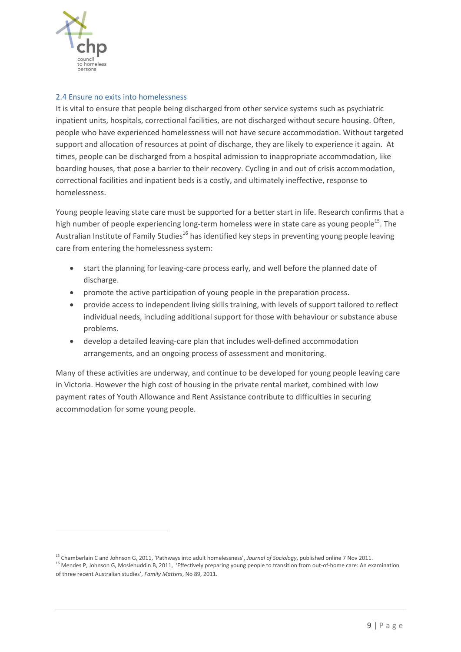

<u>.</u>

#### <span id="page-8-0"></span>2.4 Ensure no exits into homelessness

It is vital to ensure that people being discharged from other service systems such as psychiatric inpatient units, hospitals, correctional facilities, are not discharged without secure housing. Often, people who have experienced homelessness will not have secure accommodation. Without targeted support and allocation of resources at point of discharge, they are likely to experience it again. At times, people can be discharged from a hospital admission to inappropriate accommodation, like boarding houses, that pose a barrier to their recovery. Cycling in and out of crisis accommodation, correctional facilities and inpatient beds is a costly, and ultimately ineffective, response to homelessness.

Young people leaving state care must be supported for a better start in life. Research confirms that a high number of people experiencing long-term homeless were in state care as young people<sup>15</sup>. The Australian Institute of Family Studies<sup>16</sup> has identified key steps in preventing young people leaving care from entering the homelessness system:

- start the planning for leaving-care process early, and well before the planned date of discharge.
- promote the active participation of young people in the preparation process.
- provide access to independent living skills training, with levels of support tailored to reflect individual needs, including additional support for those with behaviour or substance abuse problems.
- develop a detailed leaving-care plan that includes well-defined accommodation arrangements, and an ongoing process of assessment and monitoring.

Many of these activities are underway, and continue to be developed for young people leaving care in Victoria. However the high cost of housing in the private rental market, combined with low payment rates of Youth Allowance and Rent Assistance contribute to difficulties in securing accommodation for some young people.

<sup>15</sup> Chamberlain C and Johnson G, 2011, 'Pathways into adult homelessness', *Journal of Sociology*, published online 7 Nov 2011.

<sup>&</sup>lt;sup>16</sup> Mendes P, Johnson G, Moslehuddin B, 2011, 'Effectively preparing young people to transition from out-of-home care: An examination of three recent Australian studies', *Family Matters*, No 89, 2011.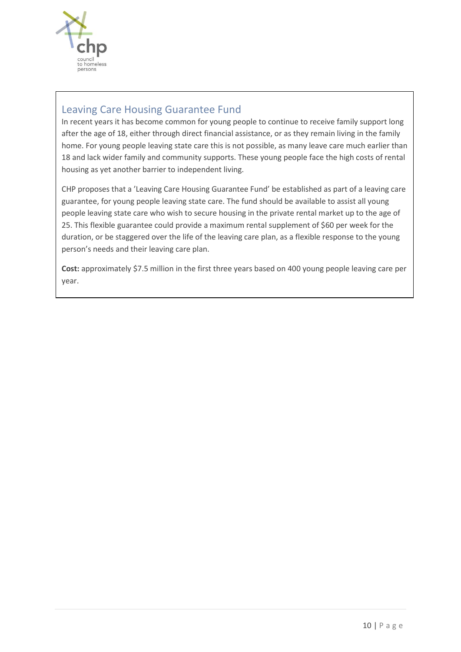

## Leaving Care Housing Guarantee Fund

In recent years it has become common for young people to continue to receive family support long after the age of 18, either through direct financial assistance, or as they remain living in the family home. For young people leaving state care this is not possible, as many leave care much earlier than 18 and lack wider family and community supports. These young people face the high costs of rental housing as yet another barrier to independent living.

CHP proposes that a 'Leaving Care Housing Guarantee Fund' be established as part of a leaving care guarantee, for young people leaving state care. The fund should be available to assist all young people leaving state care who wish to secure housing in the private rental market up to the age of 25. This flexible guarantee could provide a maximum rental supplement of \$60 per week for the duration, or be staggered over the life of the leaving care plan, as a flexible response to the young person's needs and their leaving care plan.

**Cost:** approximately \$7.5 million in the first three years based on 400 young people leaving care per year.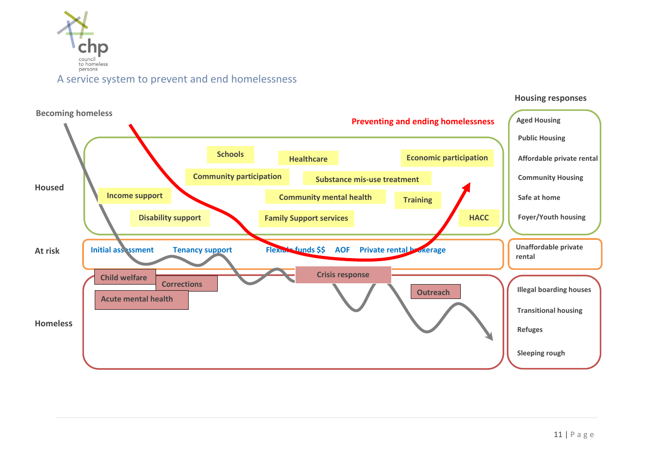

<span id="page-10-0"></span>

#### **Housing responses**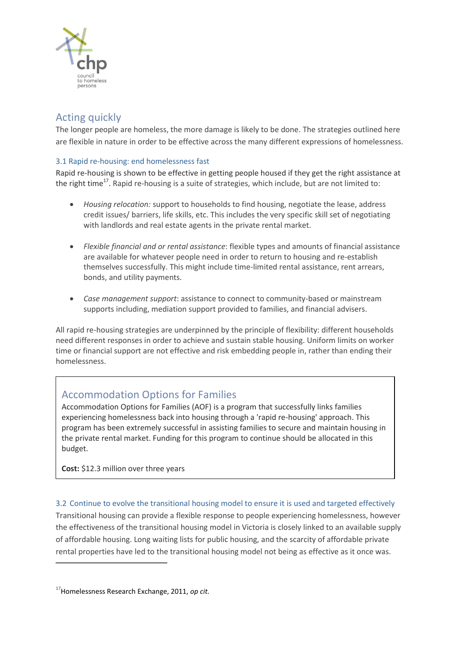

# <span id="page-11-0"></span>Acting quickly

The longer people are homeless, the more damage is likely to be done. The strategies outlined here are flexible in nature in order to be effective across the many different expressions of homelessness.

### <span id="page-11-1"></span>3.1 Rapid re-housing: end homelessness fast

Rapid re-housing is shown to be effective in getting people housed if they get the right assistance at the right time<sup>17</sup>. Rapid re-housing is a suite of strategies, which include, but are not limited to:

- *Housing relocation:* support to households to find housing, negotiate the lease, address credit issues/ barriers, life skills, etc. This includes the very specific skill set of negotiating with landlords and real estate agents in the private rental market.
- *Flexible financial and or rental assistance*: flexible types and amounts of financial assistance are available for whatever people need in order to return to housing and re-establish themselves successfully. This might include time-limited rental assistance, rent arrears, bonds, and utility payments.
- *Case management support*: assistance to connect to community-based or mainstream supports including, mediation support provided to families, and financial advisers.

All rapid re-housing strategies are underpinned by the principle of flexibility: different households need different responses in order to achieve and sustain stable housing. Uniform limits on worker time or financial support are not effective and risk embedding people in, rather than ending their homelessness.

## Accommodation Options for Families

Accommodation Options for Families (AOF) is a program that successfully links families experiencing homelessness back into housing through a 'rapid re-housing' approach. This program has been extremely successful in assisting families to secure and maintain housing in the private rental market. Funding for this program to continue should be allocated in this budget.

**Cost:** \$12.3 million over three years

### <span id="page-11-2"></span>3.2 Continue to evolve the transitional housing model to ensure it is used and targeted effectively

Transitional housing can provide a flexible response to people experiencing homelessness, however the effectiveness of the transitional housing model in Victoria is closely linked to an available supply of affordable housing. Long waiting lists for public housing, and the scarcity of affordable private rental properties have led to the transitional housing model not being as effective as it once was.

**.** 

<sup>17</sup>Homelessness Research Exchange, 2011, *op cit.*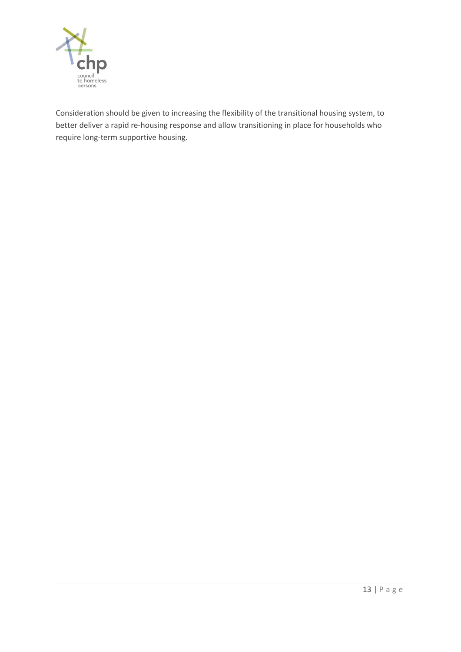

Consideration should be given to increasing the flexibility of the transitional housing system, to better deliver a rapid re-housing response and allow transitioning in place for households who require long-term supportive housing.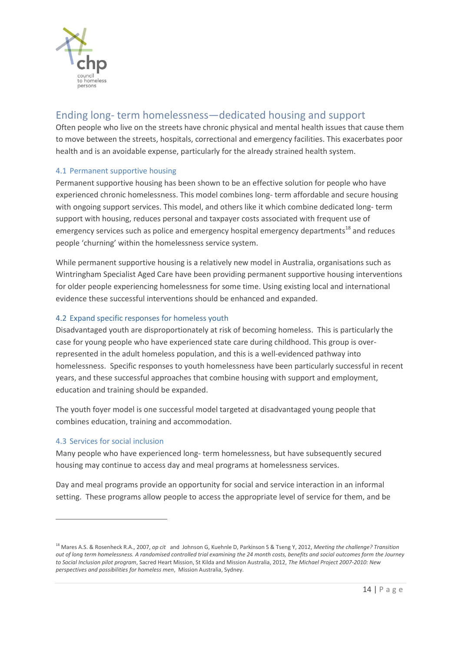

# <span id="page-13-0"></span>Ending long- term homelessness—dedicated housing and support

Often people who live on the streets have chronic physical and mental health issues that cause them to move between the streets, hospitals, correctional and emergency facilities. This exacerbates poor health and is an avoidable expense, particularly for the already strained health system.

### 4.1 Permanent supportive housing

Permanent supportive housing has been shown to be an effective solution for people who have experienced chronic homelessness. This model combines long- term affordable and secure housing with ongoing support services. This model, and others like it which combine dedicated long- term support with housing, reduces personal and taxpayer costs associated with frequent use of emergency services such as police and emergency hospital emergency departments<sup>18</sup> and reduces people 'churning' within the homelessness service system.

While permanent supportive housing is a relatively new model in Australia, organisations such as Wintringham Specialist Aged Care have been providing permanent supportive housing interventions for older people experiencing homelessness for some time. Using existing local and international evidence these successful interventions should be enhanced and expanded.

### 4.2 Expand specific responses for homeless youth

Disadvantaged youth are disproportionately at risk of becoming homeless. This is particularly the case for young people who have experienced state care during childhood. This group is overrepresented in the adult homeless population, and this is a well-evidenced pathway into homelessness. Specific responses to youth homelessness have been particularly successful in recent years, and these successful approaches that combine housing with support and employment, education and training should be expanded.

The youth foyer model is one successful model targeted at disadvantaged young people that combines education, training and accommodation.

### <span id="page-13-1"></span>4.3 Services for social inclusion

**.** 

Many people who have experienced long- term homelessness, but have subsequently secured housing may continue to access day and meal programs at homelessness services.

Day and meal programs provide an opportunity for social and service interaction in an informal setting. These programs allow people to access the appropriate level of service for them, and be

<sup>18</sup> Mares A.S. & Rosenheck R.A., 2007, *op cit* and Johnson G, Kuehnle D, Parkinson S & Tseng Y, 2012, *Meeting the challenge? Transition out of long term homelessness. A randomised controlled trial examining the 24 month costs, benefits and social outcomes form the Journey to Social Inclusion pilot program*, Sacred Heart Mission, St Kilda and Mission Australia, 2012, *The Michael Project 2007-2010: New perspectives and possibilities for homeless men*, Mission Australia, Sydney.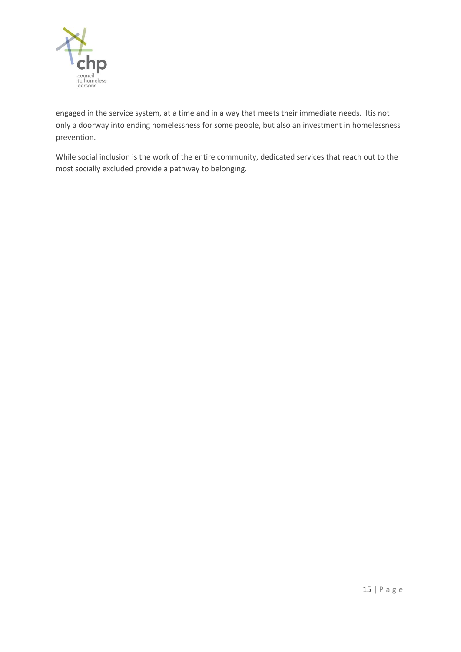

engaged in the service system, at a time and in a way that meets their immediate needs. Itis not only a doorway into ending homelessness for some people, but also an investment in homelessness prevention.

While social inclusion is the work of the entire community, dedicated services that reach out to the most socially excluded provide a pathway to belonging.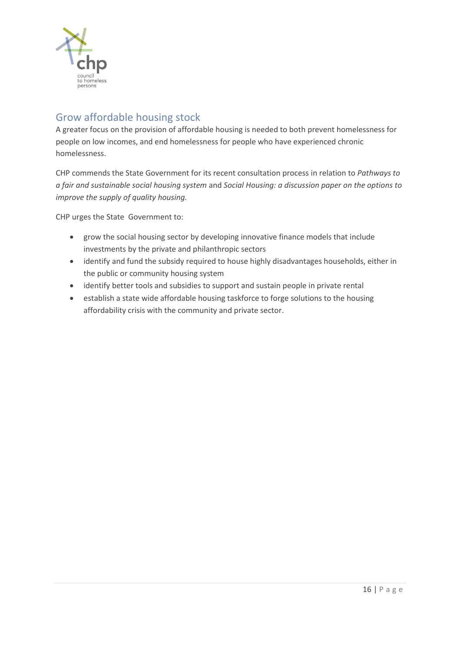

# <span id="page-15-0"></span>Grow affordable housing stock

A greater focus on the provision of affordable housing is needed to both prevent homelessness for people on low incomes, and end homelessness for people who have experienced chronic homelessness.

CHP commends the State Government for its recent consultation process in relation to *Pathways to a fair and sustainable social housing system* and *Social Housing: a discussion paper on the options to improve the supply of quality housing.* 

CHP urges the State Government to:

- grow the social housing sector by developing innovative finance models that include investments by the private and philanthropic sectors
- identify and fund the subsidy required to house highly disadvantages households, either in the public or community housing system
- identify better tools and subsidies to support and sustain people in private rental
- establish a state wide affordable housing taskforce to forge solutions to the housing affordability crisis with the community and private sector.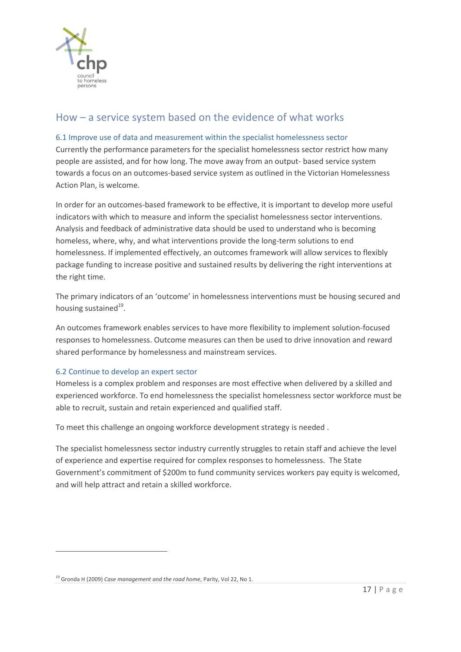

# <span id="page-16-0"></span>How – a service system based on the evidence of what works

### <span id="page-16-1"></span>6.1 Improve use of data and measurement within the specialist homelessness sector

Currently the performance parameters for the specialist homelessness sector restrict how many people are assisted, and for how long. The move away from an output- based service system towards a focus on an outcomes-based service system as outlined in the Victorian Homelessness Action Plan, is welcome.

In order for an outcomes-based framework to be effective, it is important to develop more useful indicators with which to measure and inform the specialist homelessness sector interventions. Analysis and feedback of administrative data should be used to understand who is becoming homeless, where, why, and what interventions provide the long-term solutions to end homelessness. If implemented effectively, an outcomes framework will allow services to flexibly package funding to increase positive and sustained results by delivering the right interventions at the right time.

The primary indicators of an 'outcome' in homelessness interventions must be housing secured and housing sustained<sup>19</sup>.

An outcomes framework enables services to have more flexibility to implement solution-focused responses to homelessness. Outcome measures can then be used to drive innovation and reward shared performance by homelessness and mainstream services.

#### <span id="page-16-2"></span>6.2 Continue to develop an expert sector

Homeless is a complex problem and responses are most effective when delivered by a skilled and experienced workforce. To end homelessness the specialist homelessness sector workforce must be able to recruit, sustain and retain experienced and qualified staff.

To meet this challenge an ongoing workforce development strategy is needed .

The specialist homelessness sector industry currently struggles to retain staff and achieve the level of experience and expertise required for complex responses to homelessness. The State Government's commitment of \$200m to fund community services workers pay equity is welcomed, and will help attract and retain a skilled workforce.

 $\overline{a}$ 

<sup>19</sup> Gronda H (2009) *Case management and the road home*, Parity, Vol 22, No 1.